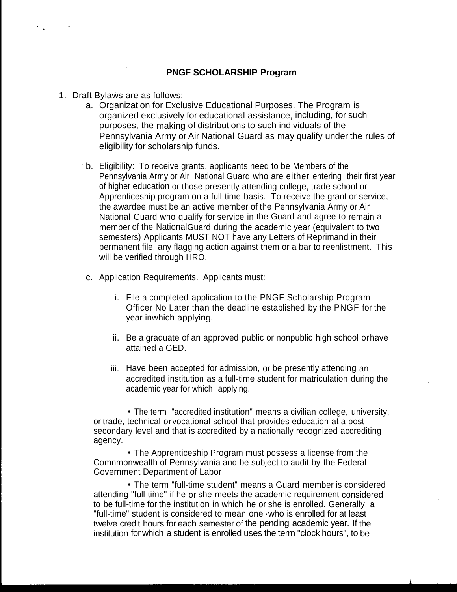## **PNGF SCHOLARSHIP Program**

- 1. Draft Bylaws are as follows:
	- a. Organization for Exclusive Educational Purposes. The Program is organized exclusively for educational assistance, including, for such purposes, the making of distributions to such individuals of the Pennsylvania Army or Air National Guard as may qualify under the rules of eligibility for scholarship funds.
	- b. Eligibility: To receive grants, applicants need to be Members of the Pennsylvania Army or Air National Guard who are either entering their first year of higher education or those presently attending college, trade school or Apprenticeship program on a full-time basis. To receive the grant or service, the awardee must be an active member of the Pennsylvania Army or Air National Guard who qualify for service in the Guard and agree to remain a member of the NationalGuard during the academic year (equivalent to two semesters) Applicants MUST NOT have any Letters of Reprimand in their permanent file, any flagging action against them or a bar to reenlistment. This will be verified through HRO.
	- c. Application Requirements. Applicants must:
		- i. File a completed application to the PNGF Scholarship Program Officer No Later than the deadline established by the PNGF for the year inwhich applying.
		- ii. Be a graduate of an approved public or nonpublic high school orhave attained a GED.
		- iii. Have been accepted for admission, or be presently attending an accredited institution as a full-time student for matriculation during the academic year for which applying.

• The term "accredited institution" means a civilian college, university, or trade, technical orvocational school that provides education at a postsecondary level and that is accredited by a nationally recognized accrediting agency.

• The Apprenticeship Program must possess a license from the Comnmonwealth of Pennsylvania and be subject to audit by the Federal Government Department of Labor

• The term "full-time student" means a Guard member is considered attending "full-time" if he or she meets the academic requirement considered to be full-time for the institution in which he or she is enrolled. Generally, a "full-time" student is considered to mean one ·who is enrolled for at least twelve credit hours for each semester of the pending academic year. If the institution for which a student is enrolled uses the term "clock hours", to be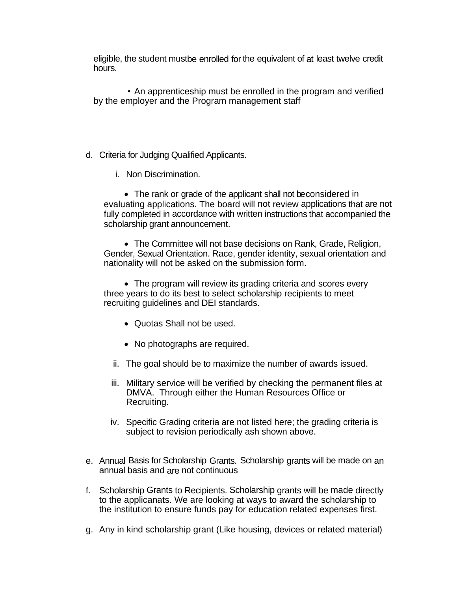eligible, the student mustbe enrolled for the equivalent of at least twelve credit hours.

• An apprenticeship must be enrolled in the program and verified by the employer and the Program management staff

- d. Criteria for Judging Qualified Applicants.
	- i. Non Discrimination.

• The rank or grade of the applicant shall not beconsidered in evaluating applications. The board will not review applications that are not fully completed in accordance with written instructions that accompanied the scholarship grant announcement.

• The Committee will not base decisions on Rank, Grade, Religion, Gender, Sexual Orientation. Race, gender identity, sexual orientation and nationality will not be asked on the submission form.

• The program will review its grading criteria and scores every three years to do its best to select scholarship recipients to meet recruiting guidelines and DEI standards.

- Quotas Shall not be used.
- No photographs are required.
- ii. The goal should be to maximize the number of awards issued.
- iii. Military service will be verified by checking the permanent files at DMVA. Through either the Human Resources Office or Recruiting.
- iv. Specific Grading criteria are not listed here; the grading criteria is subject to revision periodically ash shown above.
- e. Annual Basis for Scholarship Grants. Scholarship grants will be made on an annual basis and are not continuous
- f. Scholarship Grants to Recipients. Scholarship grants will be made directly to the applicanats. We are looking at ways to award the scholarship to the institution to ensure funds pay for education related expenses first.
- g. Any in kind scholarship grant (Like housing, devices or related material)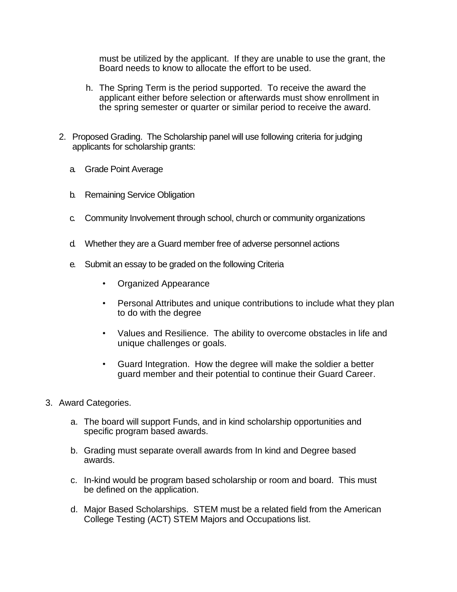must be utilized by the applicant. If they are unable to use the grant, the Board needs to know to allocate the effort to be used.

- h. The Spring Term is the period supported. To receive the award the applicant either before selection or afterwards must show enrollment in the spring semester or quarter or similar period to receive the award.
- 2. Proposed Grading. The Scholarship panel will use following criteria forjudging applicants for scholarship grants:
	- a. Grade Point Average
	- b. Remaining Service Obligation
	- c. Community Involvement through school, church or community organizations
	- d. Whether they are a Guard member free of adverse personnel actions
	- e. Submit an essay to be graded on the following Criteria
		- Organized Appearance
		- Personal Attributes and unique contributions to include what they plan to do with the degree
		- Values and Resilience. The ability to overcome obstacles in life and unique challenges or goals.
		- Guard Integration. How the degree will make the soldier a better guard member and their potential to continue their Guard Career.
- 3. Award Categories.
	- a. The board will support Funds, and in kind scholarship opportunities and specific program based awards.
	- b. Grading must separate overall awards from In kind and Degree based awards.
	- c. In-kind would be program based scholarship or room and board. This must be defined on the application.
	- d. Major Based Scholarships. STEM must be a related field from the American College Testing (ACT) STEM Majors and Occupations list.